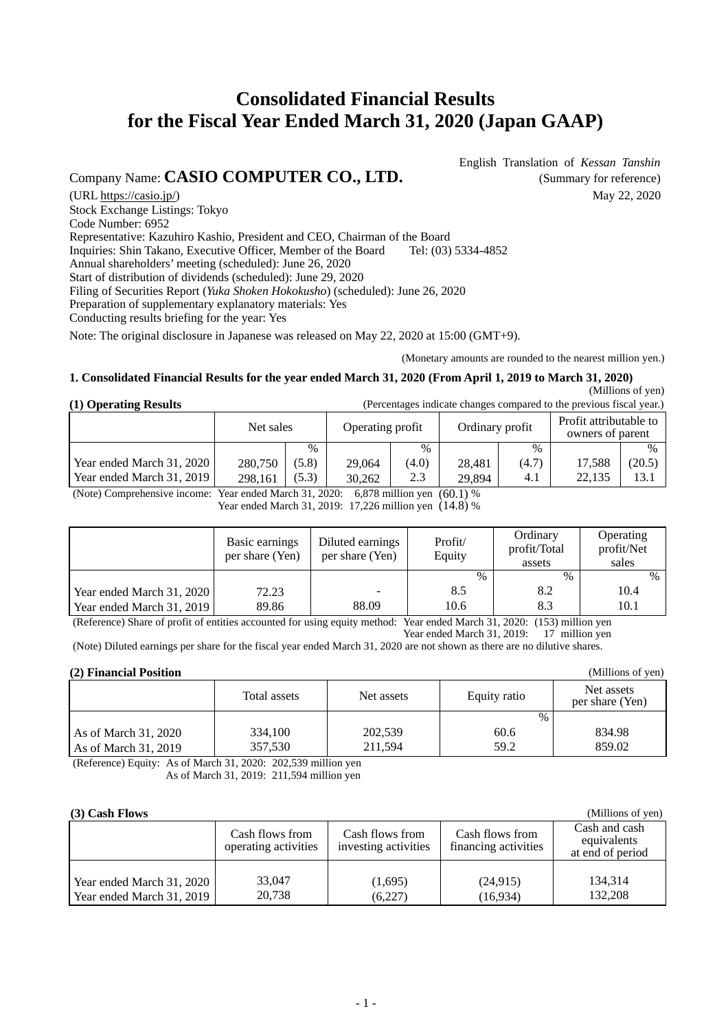# **Consolidated Financial Results for the Fiscal Year Ended March 31, 2020 (Japan GAAP)**

Company Name: **CASIO COMPUTER CO., LTD.** (Summary for reference)

English Translation of *Kessan Tanshin*

(URL https://casio.jp/)  $\qquad \qquad$  May 22, 2020 Stock Exchange Listings: Tokyo Code Number: 6952 Representative: Kazuhiro Kashio, President and CEO, Chairman of the Board Inquiries: Shin Takano, Executive Officer, Member of the Board Tel: (03) 5334-4852 Annual shareholders' meeting (scheduled): June 26, 2020 Start of distribution of dividends (scheduled): June 29, 2020 Filing of Securities Report (*Yuka Shoken Hokokusho*) (scheduled): June 26, 2020 Preparation of supplementary explanatory materials: Yes Conducting results briefing for the year: Yes

Note: The original disclosure in Japanese was released on May 22, 2020 at 15:00 (GMT+9).

(Monetary amounts are rounded to the nearest million yen.)

## **1. Consolidated Financial Results for the year ended March 31, 2020 (From April 1, 2019 to March 31, 2020)**

 (Millions of yen) (Percentages indicate changes compared to the previous fiscal year.)

(Millions of yen)

|  |  | (1) Operating Results |  |
|--|--|-----------------------|--|
|--|--|-----------------------|--|

|                           |         | Net sales<br>Operating profit |        | Ordinary profit |        | Profit attributable to<br>owners of parent |        |        |
|---------------------------|---------|-------------------------------|--------|-----------------|--------|--------------------------------------------|--------|--------|
|                           |         | $\%$                          |        | $\%$            |        | $\frac{0}{0}$                              |        | $\%$   |
| Year ended March 31, 2020 | 280,750 | (5.8)                         | 29.064 | (4.0)           | 28.481 | (4.7)                                      | 17.588 | (20.5) |
| Year ended March 31, 2019 | 298.161 | (5.3)                         | 30.262 | 2.3             | 29.894 | 4.1                                        | 22.135 | 13.1   |

(Note) Comprehensive income: Year ended March 31, 2020: 6,878 million yen (60.1) %

Year ended March 31, 2019: 17,226 million yen (14.8) %

|                           | Basic earnings<br>per share (Yen) | Diluted earnings<br>per share (Yen) | Profit/<br>Equity | Ordinary<br>profit/Total<br>assets | Operating<br>profit/Net<br>sales |
|---------------------------|-----------------------------------|-------------------------------------|-------------------|------------------------------------|----------------------------------|
|                           |                                   |                                     | $\%$              | $\frac{0}{0}$                      | $\%$                             |
| Year ended March 31, 2020 | 72.23                             |                                     | 8.5               | 8.2                                | 10.4                             |
| Year ended March 31, 2019 | 89.86                             | 88.09                               | 10.6              | 8.3                                | 10.1                             |

(Reference) Share of profit of entities accounted for using equity method: Year ended March 31, 2020: (153) million yen Year ended March 31, 2019: 17 million yen

(Note) Diluted earnings per share for the fiscal year ended March 31, 2020 are not shown as there are no dilutive shares.

## **(2) Financial Position**

| $\mathbf{u}$                                 |                    |                    |                      |                               |  |  |
|----------------------------------------------|--------------------|--------------------|----------------------|-------------------------------|--|--|
|                                              | Total assets       | Net assets         | Equity ratio         | Net assets<br>per share (Yen) |  |  |
| As of March 31, 2020<br>As of March 31, 2019 | 334,100<br>357,530 | 202,539<br>211.594 | $\%$<br>60.6<br>59.2 | 834.98<br>859.02              |  |  |

(Reference) Equity: As of March 31, 2020: 202,539 million yen As of March 31, 2019: 211,594 million yen

# **(3) Cash Flows**

| $(3)$ Cash Flows          | (Millions of yen)                       |                                         |                                         |                                                  |
|---------------------------|-----------------------------------------|-----------------------------------------|-----------------------------------------|--------------------------------------------------|
|                           | Cash flows from<br>operating activities | Cash flows from<br>investing activities | Cash flows from<br>financing activities | Cash and cash<br>equivalents<br>at end of period |
| Year ended March 31, 2020 | 33,047                                  | (1,695)                                 | (24, 915)                               | 134.314                                          |
| Year ended March 31, 2019 | 20,738                                  | (6,227)                                 | (16,934)                                | 132,208                                          |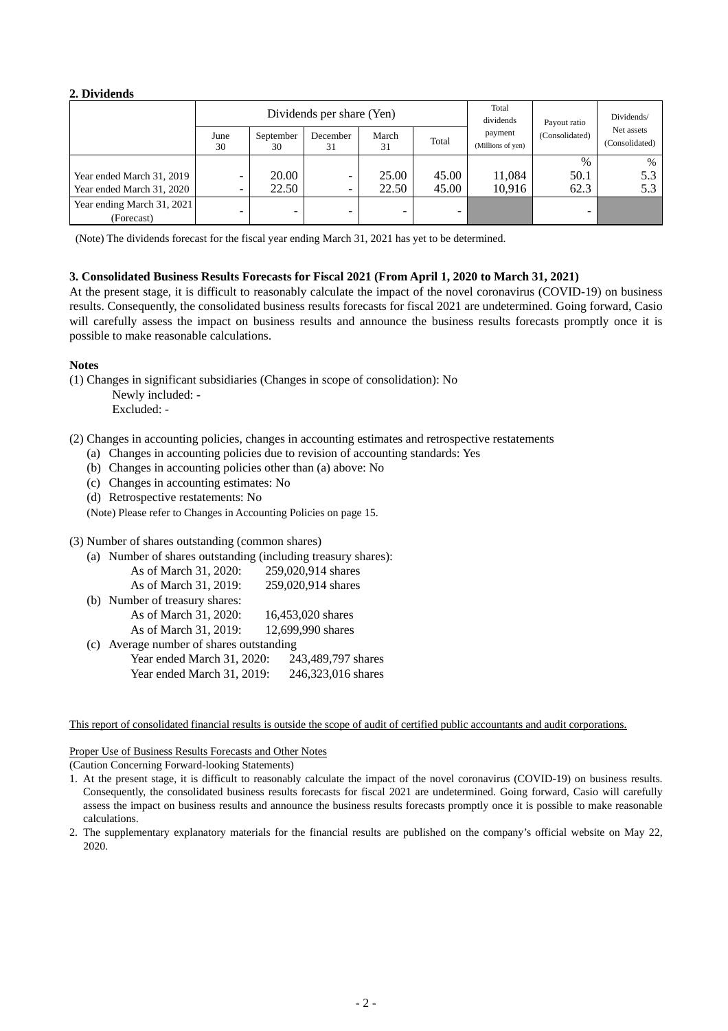## **2. Dividends**

|                            |            |                 | Dividends per share (Yen) |             |       | Total<br>dividends           | Payout ratio   | Dividends/                   |
|----------------------------|------------|-----------------|---------------------------|-------------|-------|------------------------------|----------------|------------------------------|
|                            | June<br>30 | September<br>30 | December<br>31            | March<br>31 | Total | payment<br>(Millions of yen) | (Consolidated) | Net assets<br>(Consolidated) |
|                            |            |                 |                           |             |       |                              | $\%$           | $\%$                         |
| Year ended March 31, 2019  |            | 20.00           |                           | 25.00       | 45.00 | 11.084                       | 50.1           | 5.3                          |
| Year ended March 31, 2020  | -          | 22.50           |                           | 22.50       | 45.00 | 10.916                       | 62.3           | 5.3                          |
| Year ending March 31, 2021 |            |                 |                           |             |       |                              |                |                              |
| (Forecast)                 |            | $\qquad \qquad$ |                           | ۰           |       |                              |                |                              |

(Note) The dividends forecast for the fiscal year ending March 31, 2021 has yet to be determined.

## **3. Consolidated Business Results Forecasts for Fiscal 2021 (From April 1, 2020 to March 31, 2021)**

At the present stage, it is difficult to reasonably calculate the impact of the novel coronavirus (COVID-19) on business results. Consequently, the consolidated business results forecasts for fiscal 2021 are undetermined. Going forward, Casio will carefully assess the impact on business results and announce the business results forecasts promptly once it is possible to make reasonable calculations.

## **Notes**

(1) Changes in significant subsidiaries (Changes in scope of consolidation): No

Newly included: -

Excluded: -

- (2) Changes in accounting policies, changes in accounting estimates and retrospective restatements
	- (a) Changes in accounting policies due to revision of accounting standards: Yes
	- (b) Changes in accounting policies other than (a) above: No
	- (c) Changes in accounting estimates: No
	- (d) Retrospective restatements: No
	- (Note) Please refer to Changes in Accounting Policies on page 15.

(3) Number of shares outstanding (common shares)

| (a) | Number of shares outstanding (including treasury shares): |                    |
|-----|-----------------------------------------------------------|--------------------|
|     | As of March 31, 2020:                                     | 259,020,914 shares |
|     | As of March 31, 2019:                                     | 259,020,914 shares |
|     | (b) Number of treasury shares:                            |                    |
|     | As of March 31, 2020:                                     | 16,453,020 shares  |
|     | As of March 31, 2019:                                     | 12,699,990 shares  |
| (c) | Average number of shares outstanding                      |                    |
|     | Year ended March 31, 2020:                                | 243,489,797 shares |
|     | Year ended March 31, 2019:                                | 246,323,016 shares |

#### This report of consolidated financial results is outside the scope of audit of certified public accountants and audit corporations.

## Proper Use of Business Results Forecasts and Other Notes

(Caution Concerning Forward-looking Statements)

- 1. At the present stage, it is difficult to reasonably calculate the impact of the novel coronavirus (COVID-19) on business results. Consequently, the consolidated business results forecasts for fiscal 2021 are undetermined. Going forward, Casio will carefully assess the impact on business results and announce the business results forecasts promptly once it is possible to make reasonable calculations.
- 2. The supplementary explanatory materials for the financial results are published on the company's official website on May 22, 2020.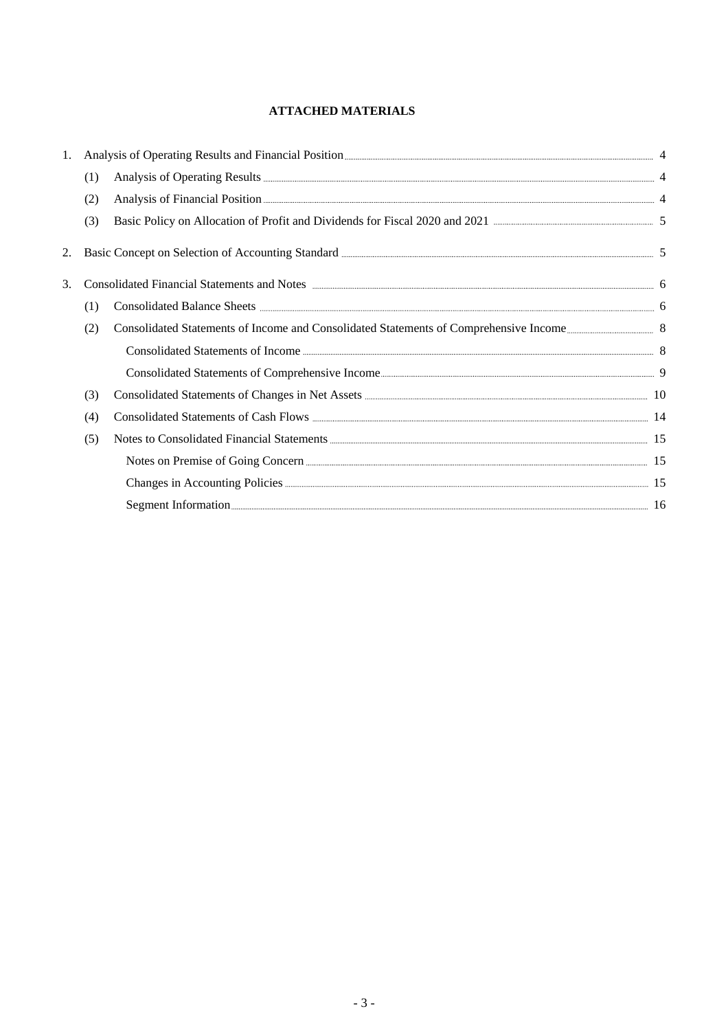# **ATTACHED MATERIALS**

| 1. |     |                                                                                                                                         |  |
|----|-----|-----------------------------------------------------------------------------------------------------------------------------------------|--|
|    | (1) |                                                                                                                                         |  |
|    | (2) |                                                                                                                                         |  |
|    | (3) | Basic Policy on Allocation of Profit and Dividends for Fiscal 2020 and 2021 manufacture manufacture and 5                               |  |
| 2. |     |                                                                                                                                         |  |
| 3. |     | Consolidated Financial Statements and Notes <b>Exercise Consolidated</b> Financial Statements and Notes <b>Exercise Consolidated</b>    |  |
|    | (1) |                                                                                                                                         |  |
|    | (2) |                                                                                                                                         |  |
|    |     | Consolidated Statements of Income <b>Consolidated Statements</b> of Income <b>Consolidated</b> Statements of Income <b>Consolidated</b> |  |
|    |     |                                                                                                                                         |  |
|    | (3) |                                                                                                                                         |  |
|    | (4) |                                                                                                                                         |  |
|    | (5) |                                                                                                                                         |  |
|    |     |                                                                                                                                         |  |
|    |     |                                                                                                                                         |  |
|    |     | Segment Information                                                                                                                     |  |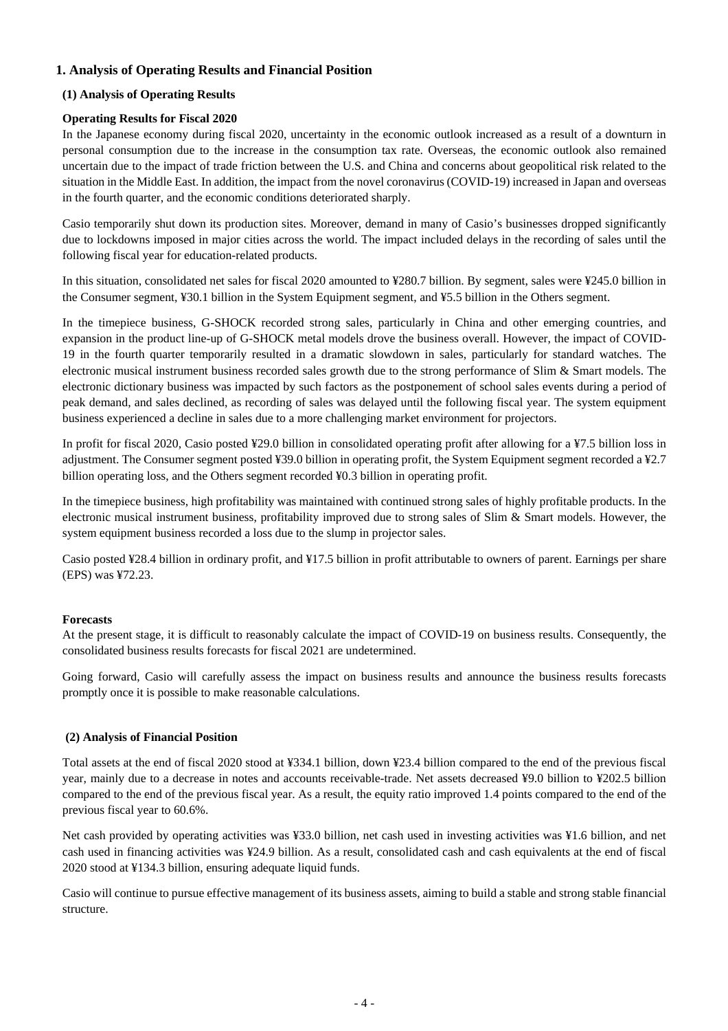# **1. Analysis of Operating Results and Financial Position**

## **(1) Analysis of Operating Results**

# **Operating Results for Fiscal 2020**

In the Japanese economy during fiscal 2020, uncertainty in the economic outlook increased as a result of a downturn in personal consumption due to the increase in the consumption tax rate. Overseas, the economic outlook also remained uncertain due to the impact of trade friction between the U.S. and China and concerns about geopolitical risk related to the situation in the Middle East. In addition, the impact from the novel coronavirus (COVID-19) increased in Japan and overseas in the fourth quarter, and the economic conditions deteriorated sharply.

Casio temporarily shut down its production sites. Moreover, demand in many of Casio's businesses dropped significantly due to lockdowns imposed in major cities across the world. The impact included delays in the recording of sales until the following fiscal year for education-related products.

In this situation, consolidated net sales for fiscal 2020 amounted to ¥280.7 billion. By segment, sales were ¥245.0 billion in the Consumer segment, ¥30.1 billion in the System Equipment segment, and ¥5.5 billion in the Others segment.

In the timepiece business, G-SHOCK recorded strong sales, particularly in China and other emerging countries, and expansion in the product line-up of G-SHOCK metal models drove the business overall. However, the impact of COVID-19 in the fourth quarter temporarily resulted in a dramatic slowdown in sales, particularly for standard watches. The electronic musical instrument business recorded sales growth due to the strong performance of Slim & Smart models. The electronic dictionary business was impacted by such factors as the postponement of school sales events during a period of peak demand, and sales declined, as recording of sales was delayed until the following fiscal year. The system equipment business experienced a decline in sales due to a more challenging market environment for projectors.

In profit for fiscal 2020, Casio posted ¥29.0 billion in consolidated operating profit after allowing for a ¥7.5 billion loss in adjustment. The Consumer segment posted ¥39.0 billion in operating profit, the System Equipment segment recorded a ¥2.7 billion operating loss, and the Others segment recorded ¥0.3 billion in operating profit.

In the timepiece business, high profitability was maintained with continued strong sales of highly profitable products. In the electronic musical instrument business, profitability improved due to strong sales of Slim & Smart models. However, the system equipment business recorded a loss due to the slump in projector sales.

Casio posted ¥28.4 billion in ordinary profit, and ¥17.5 billion in profit attributable to owners of parent. Earnings per share (EPS) was ¥72.23.

# **Forecasts**

At the present stage, it is difficult to reasonably calculate the impact of COVID-19 on business results. Consequently, the consolidated business results forecasts for fiscal 2021 are undetermined.

Going forward, Casio will carefully assess the impact on business results and announce the business results forecasts promptly once it is possible to make reasonable calculations.

## **(2) Analysis of Financial Position**

Total assets at the end of fiscal 2020 stood at ¥334.1 billion, down ¥23.4 billion compared to the end of the previous fiscal year, mainly due to a decrease in notes and accounts receivable-trade. Net assets decreased ¥9.0 billion to ¥202.5 billion compared to the end of the previous fiscal year. As a result, the equity ratio improved 1.4 points compared to the end of the previous fiscal year to 60.6%.

Net cash provided by operating activities was ¥33.0 billion, net cash used in investing activities was ¥1.6 billion, and net cash used in financing activities was ¥24.9 billion. As a result, consolidated cash and cash equivalents at the end of fiscal 2020 stood at ¥134.3 billion, ensuring adequate liquid funds.

Casio will continue to pursue effective management of its business assets, aiming to build a stable and strong stable financial structure.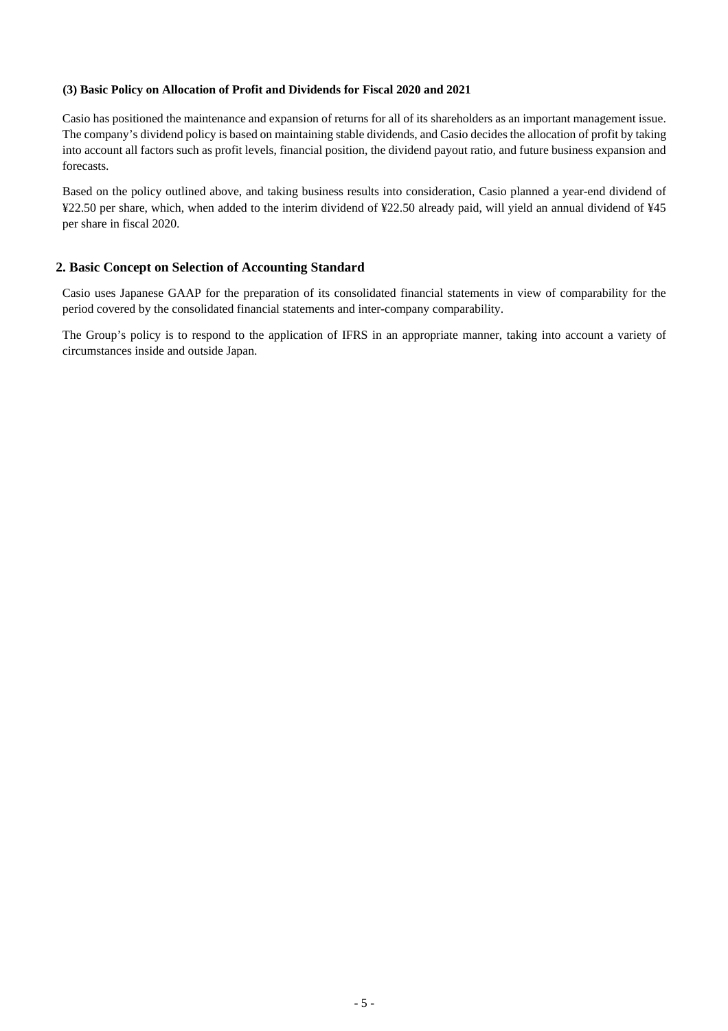## **(3) Basic Policy on Allocation of Profit and Dividends for Fiscal 2020 and 2021**

Casio has positioned the maintenance and expansion of returns for all of its shareholders as an important management issue. The company's dividend policy is based on maintaining stable dividends, and Casio decides the allocation of profit by taking into account all factors such as profit levels, financial position, the dividend payout ratio, and future business expansion and forecasts.

Based on the policy outlined above, and taking business results into consideration, Casio planned a year-end dividend of ¥22.50 per share, which, when added to the interim dividend of ¥22.50 already paid, will yield an annual dividend of ¥45 per share in fiscal 2020.

# **2. Basic Concept on Selection of Accounting Standard**

Casio uses Japanese GAAP for the preparation of its consolidated financial statements in view of comparability for the period covered by the consolidated financial statements and inter-company comparability.

The Group's policy is to respond to the application of IFRS in an appropriate manner, taking into account a variety of circumstances inside and outside Japan.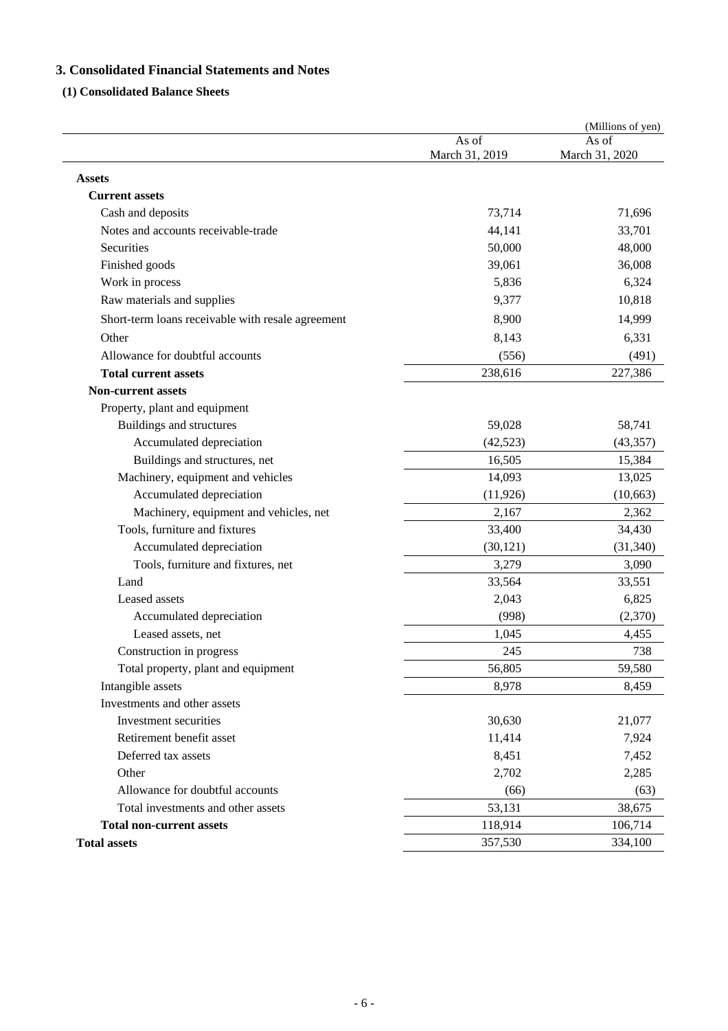# **3. Consolidated Financial Statements and Notes**

# **(1) Consolidated Balance Sheets**

|                                                   |                         | (Millions of yen)       |
|---------------------------------------------------|-------------------------|-------------------------|
|                                                   | As of<br>March 31, 2019 | As of<br>March 31, 2020 |
| <b>Assets</b>                                     |                         |                         |
| <b>Current assets</b>                             |                         |                         |
| Cash and deposits                                 | 73,714                  | 71,696                  |
| Notes and accounts receivable-trade               | 44,141                  | 33,701                  |
| Securities                                        | 50,000                  | 48,000                  |
| Finished goods                                    | 39,061                  | 36,008                  |
| Work in process                                   | 5,836                   | 6,324                   |
| Raw materials and supplies                        | 9,377                   | 10,818                  |
| Short-term loans receivable with resale agreement | 8,900                   | 14,999                  |
| Other                                             | 8,143                   | 6,331                   |
| Allowance for doubtful accounts                   | (556)                   | (491)                   |
| <b>Total current assets</b>                       | 238,616                 | 227,386                 |
| <b>Non-current assets</b>                         |                         |                         |
| Property, plant and equipment                     |                         |                         |
| Buildings and structures                          | 59,028                  | 58,741                  |
| Accumulated depreciation                          | (42, 523)               | (43, 357)               |
| Buildings and structures, net                     | 16,505                  | 15,384                  |
| Machinery, equipment and vehicles                 | 14,093                  | 13,025                  |
| Accumulated depreciation                          | (11, 926)               | (10, 663)               |
| Machinery, equipment and vehicles, net            | 2,167                   | 2,362                   |
| Tools, furniture and fixtures                     | 33,400                  | 34,430                  |
| Accumulated depreciation                          | (30, 121)               | (31, 340)               |
| Tools, furniture and fixtures, net                | 3,279                   | 3,090                   |
| Land                                              | 33,564                  | 33,551                  |
| Leased assets                                     | 2,043                   | 6,825                   |
| Accumulated depreciation                          | (998)                   | (2,370)                 |
| Leased assets, net                                | 1,045                   | 4,455                   |
| Construction in progress                          | 245                     | 738                     |
| Total property, plant and equipment               | 56,805                  | 59,580                  |
| Intangible assets                                 | 8,978                   | 8,459                   |
| Investments and other assets                      |                         |                         |
| Investment securities                             | 30,630                  | 21,077                  |
| Retirement benefit asset                          | 11,414                  | 7,924                   |
| Deferred tax assets                               | 8,451                   | 7,452                   |
| Other                                             | 2,702                   | 2,285                   |
| Allowance for doubtful accounts                   | (66)                    | (63)                    |
| Total investments and other assets                | 53,131                  | 38,675                  |
| <b>Total non-current assets</b>                   | 118,914                 | 106,714                 |
| <b>Total assets</b>                               | 357,530                 | 334,100                 |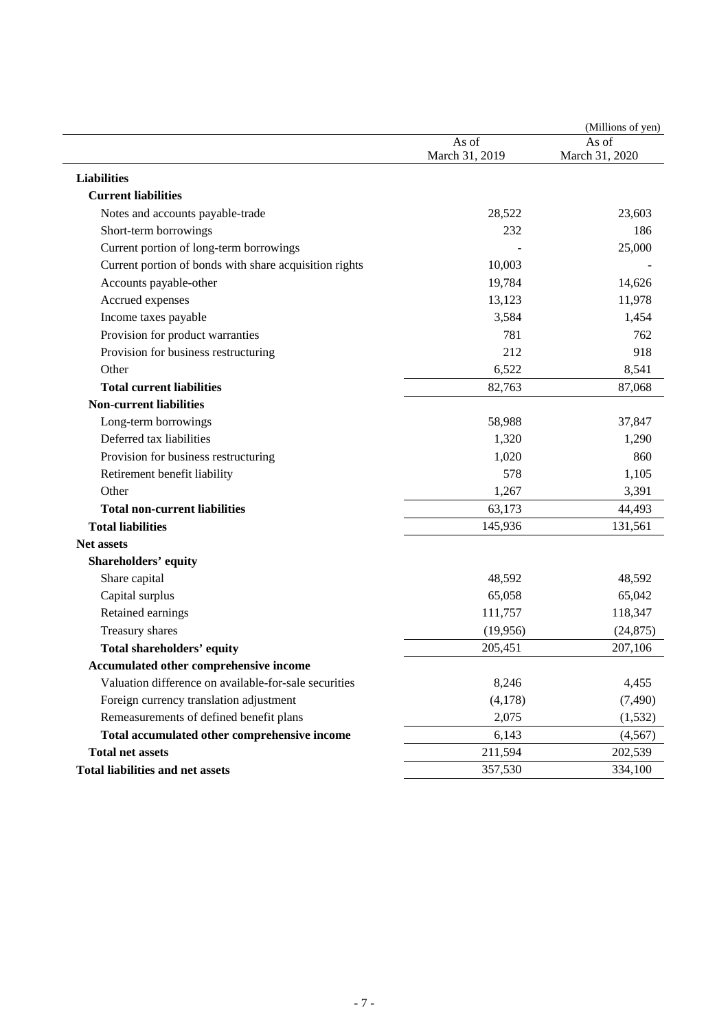|                                                        |                         | (Millions of yen)       |
|--------------------------------------------------------|-------------------------|-------------------------|
|                                                        | As of<br>March 31, 2019 | As of<br>March 31, 2020 |
| <b>Liabilities</b>                                     |                         |                         |
| <b>Current liabilities</b>                             |                         |                         |
| Notes and accounts payable-trade                       | 28,522                  | 23,603                  |
| Short-term borrowings                                  | 232                     | 186                     |
| Current portion of long-term borrowings                |                         | 25,000                  |
| Current portion of bonds with share acquisition rights | 10,003                  |                         |
| Accounts payable-other                                 | 19,784                  | 14,626                  |
| Accrued expenses                                       | 13,123                  | 11,978                  |
| Income taxes payable                                   | 3,584                   | 1,454                   |
| Provision for product warranties                       | 781                     | 762                     |
| Provision for business restructuring                   | 212                     | 918                     |
| Other                                                  | 6,522                   | 8,541                   |
| <b>Total current liabilities</b>                       | 82,763                  | 87,068                  |
| <b>Non-current liabilities</b>                         |                         |                         |
| Long-term borrowings                                   | 58,988                  | 37,847                  |
| Deferred tax liabilities                               | 1,320                   | 1,290                   |
| Provision for business restructuring                   | 1,020                   | 860                     |
| Retirement benefit liability                           | 578                     | 1,105                   |
| Other                                                  | 1,267                   | 3,391                   |
| <b>Total non-current liabilities</b>                   | 63,173                  | 44,493                  |
| <b>Total liabilities</b>                               | 145,936                 | 131,561                 |
| <b>Net assets</b>                                      |                         |                         |
| Shareholders' equity                                   |                         |                         |
| Share capital                                          | 48,592                  | 48,592                  |
| Capital surplus                                        | 65,058                  | 65,042                  |
| Retained earnings                                      | 111,757                 | 118,347                 |
| Treasury shares                                        | (19,956)                | (24, 875)               |
| Total shareholders' equity                             | 205,451                 | 207,106                 |
| <b>Accumulated other comprehensive income</b>          |                         |                         |
| Valuation difference on available-for-sale securities  | 8,246                   | 4,455                   |
| Foreign currency translation adjustment                | (4,178)                 | (7,490)                 |
| Remeasurements of defined benefit plans                | 2,075                   | (1, 532)                |
| Total accumulated other comprehensive income           | 6,143                   | (4, 567)                |
| <b>Total net assets</b>                                | 211,594                 | 202,539                 |
| <b>Total liabilities and net assets</b>                | 357,530                 | 334,100                 |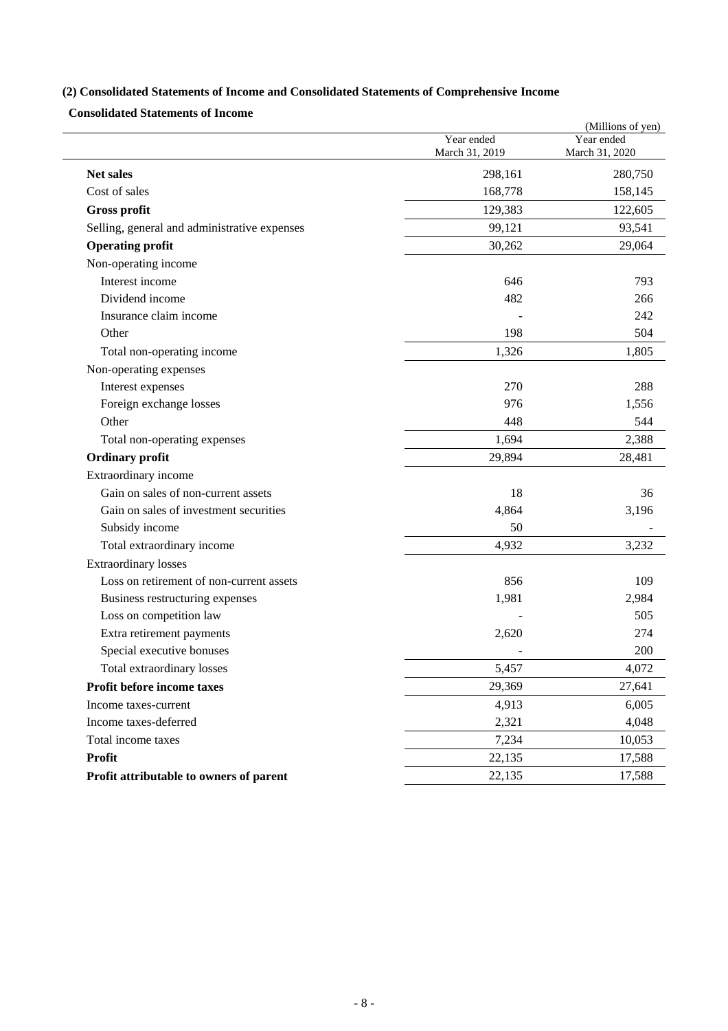# **(2) Consolidated Statements of Income and Consolidated Statements of Comprehensive Income**

**Consolidated Statements of Income** 

| <b>Net sales</b><br>Cost of sales<br>Gross profit | Year ended<br>March 31, 2019<br>298,161<br>168,778<br>129,383<br>99,121<br>30,262 | Year ended<br>March 31, 2020<br>280,750<br>158,145<br>122,605<br>93,541 |
|---------------------------------------------------|-----------------------------------------------------------------------------------|-------------------------------------------------------------------------|
|                                                   |                                                                                   |                                                                         |
|                                                   |                                                                                   |                                                                         |
|                                                   |                                                                                   |                                                                         |
|                                                   |                                                                                   |                                                                         |
| Selling, general and administrative expenses      |                                                                                   |                                                                         |
| <b>Operating profit</b>                           |                                                                                   | 29,064                                                                  |
| Non-operating income                              |                                                                                   |                                                                         |
| Interest income                                   | 646                                                                               | 793                                                                     |
| Dividend income                                   | 482                                                                               | 266                                                                     |
| Insurance claim income                            |                                                                                   | 242                                                                     |
| Other                                             | 198                                                                               | 504                                                                     |
| Total non-operating income                        | 1,326                                                                             | 1,805                                                                   |
| Non-operating expenses                            |                                                                                   |                                                                         |
| Interest expenses                                 | 270                                                                               | 288                                                                     |
| Foreign exchange losses                           | 976                                                                               | 1,556                                                                   |
| Other                                             | 448                                                                               | 544                                                                     |
| Total non-operating expenses                      | 1,694                                                                             | 2,388                                                                   |
| <b>Ordinary profit</b>                            | 29,894                                                                            | 28,481                                                                  |
| Extraordinary income                              |                                                                                   |                                                                         |
| Gain on sales of non-current assets               | 18                                                                                | 36                                                                      |
| Gain on sales of investment securities            | 4,864                                                                             | 3,196                                                                   |
| Subsidy income                                    | 50                                                                                |                                                                         |
| Total extraordinary income                        | 4,932                                                                             | 3,232                                                                   |
| <b>Extraordinary losses</b>                       |                                                                                   |                                                                         |
| Loss on retirement of non-current assets          | 856                                                                               | 109                                                                     |
| Business restructuring expenses                   | 1,981                                                                             | 2,984                                                                   |
| Loss on competition law                           |                                                                                   | 505                                                                     |
| Extra retirement payments                         | 2,620                                                                             | 274                                                                     |
| Special executive bonuses                         |                                                                                   | 200                                                                     |
| Total extraordinary losses                        | 5,457                                                                             | 4,072                                                                   |
| Profit before income taxes                        | 29,369                                                                            | 27,641                                                                  |
| Income taxes-current                              | 4,913                                                                             | 6,005                                                                   |
| Income taxes-deferred                             | 2,321                                                                             | 4,048                                                                   |
| Total income taxes                                | 7,234                                                                             | 10,053                                                                  |
| <b>Profit</b>                                     | 22,135                                                                            | 17,588                                                                  |
| Profit attributable to owners of parent           | 22,135                                                                            | 17,588                                                                  |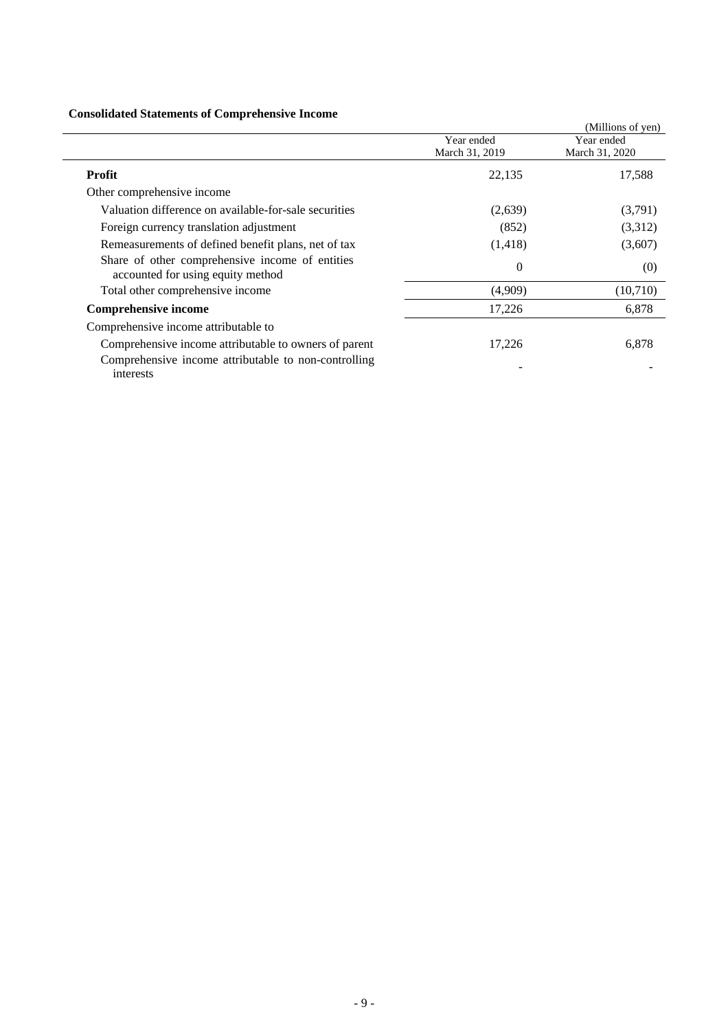# **Consolidated Statements of Comprehensive Income**

| Consolidated Statements of Complements of Income                                     |                              |                              |
|--------------------------------------------------------------------------------------|------------------------------|------------------------------|
|                                                                                      |                              | (Millions of yen)            |
|                                                                                      | Year ended<br>March 31, 2019 | Year ended<br>March 31, 2020 |
|                                                                                      |                              |                              |
| <b>Profit</b>                                                                        | 22,135                       | 17,588                       |
| Other comprehensive income                                                           |                              |                              |
| Valuation difference on available-for-sale securities                                | (2,639)                      | (3,791)                      |
| Foreign currency translation adjustment                                              | (852)                        | (3,312)                      |
| Remeasurements of defined benefit plans, net of tax                                  | (1, 418)                     | (3,607)                      |
| Share of other comprehensive income of entities<br>accounted for using equity method | $\theta$                     | (0)                          |
| Total other comprehensive income                                                     | (4,909)                      | (10,710)                     |
| <b>Comprehensive income</b>                                                          | 17,226                       | 6,878                        |
| Comprehensive income attributable to                                                 |                              |                              |
| Comprehensive income attributable to owners of parent                                | 17,226                       | 6,878                        |
| Comprehensive income attributable to non-controlling<br>interests                    |                              |                              |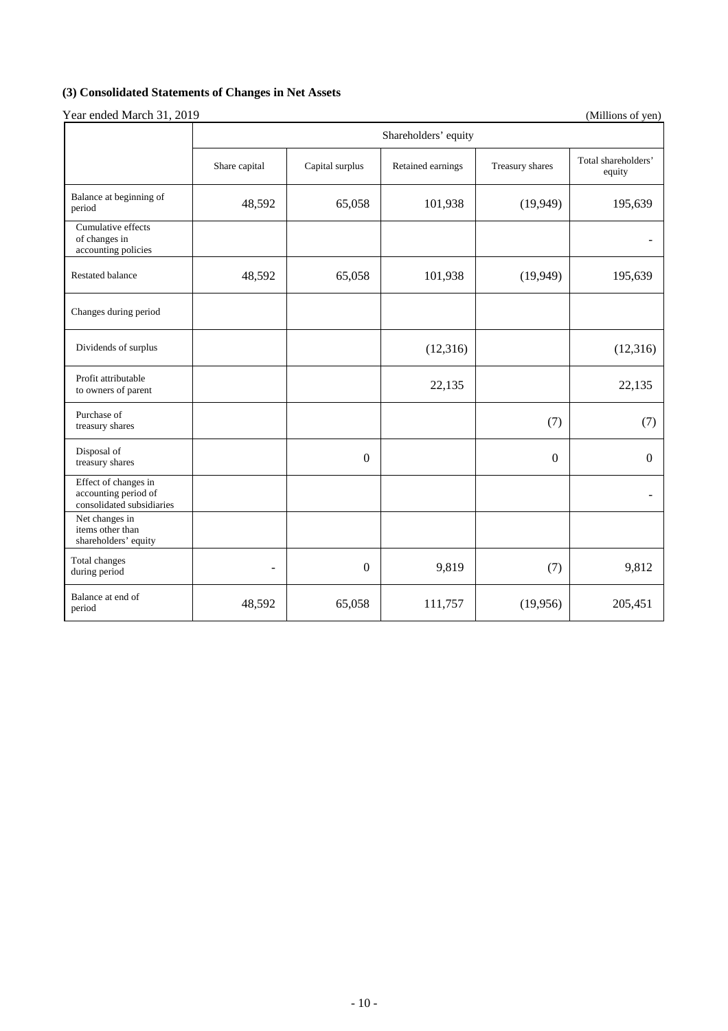# **(3) Consolidated Statements of Changes in Net Assets**

|                                                                           | Shareholders' equity     |                  |                   |                 |                               |  |  |
|---------------------------------------------------------------------------|--------------------------|------------------|-------------------|-----------------|-------------------------------|--|--|
|                                                                           | Share capital            | Capital surplus  | Retained earnings | Treasury shares | Total shareholders'<br>equity |  |  |
| Balance at beginning of<br>period                                         | 48,592                   | 65,058           | 101,938           | (19, 949)       | 195,639                       |  |  |
| Cumulative effects<br>of changes in<br>accounting policies                |                          |                  |                   |                 |                               |  |  |
| <b>Restated balance</b>                                                   | 48,592                   | 65,058           | 101,938           | (19, 949)       | 195,639                       |  |  |
| Changes during period                                                     |                          |                  |                   |                 |                               |  |  |
| Dividends of surplus                                                      |                          |                  | (12, 316)         |                 | (12, 316)                     |  |  |
| Profit attributable<br>to owners of parent                                |                          |                  | 22,135            |                 | 22,135                        |  |  |
| Purchase of<br>treasury shares                                            |                          |                  |                   | (7)             | (7)                           |  |  |
| Disposal of<br>treasury shares                                            |                          | $\theta$         |                   | $\theta$        | $\theta$                      |  |  |
| Effect of changes in<br>accounting period of<br>consolidated subsidiaries |                          |                  |                   |                 |                               |  |  |
| Net changes in<br>items other than<br>shareholders' equity                |                          |                  |                   |                 |                               |  |  |
| Total changes<br>during period                                            | $\overline{\phantom{0}}$ | $\boldsymbol{0}$ | 9,819             | (7)             | 9,812                         |  |  |
| Balance at end of<br>period                                               | 48,592                   | 65,058           | 111,757           | (19,956)        | 205,451                       |  |  |

# Year ended March 31, 2019 (Millions of yen)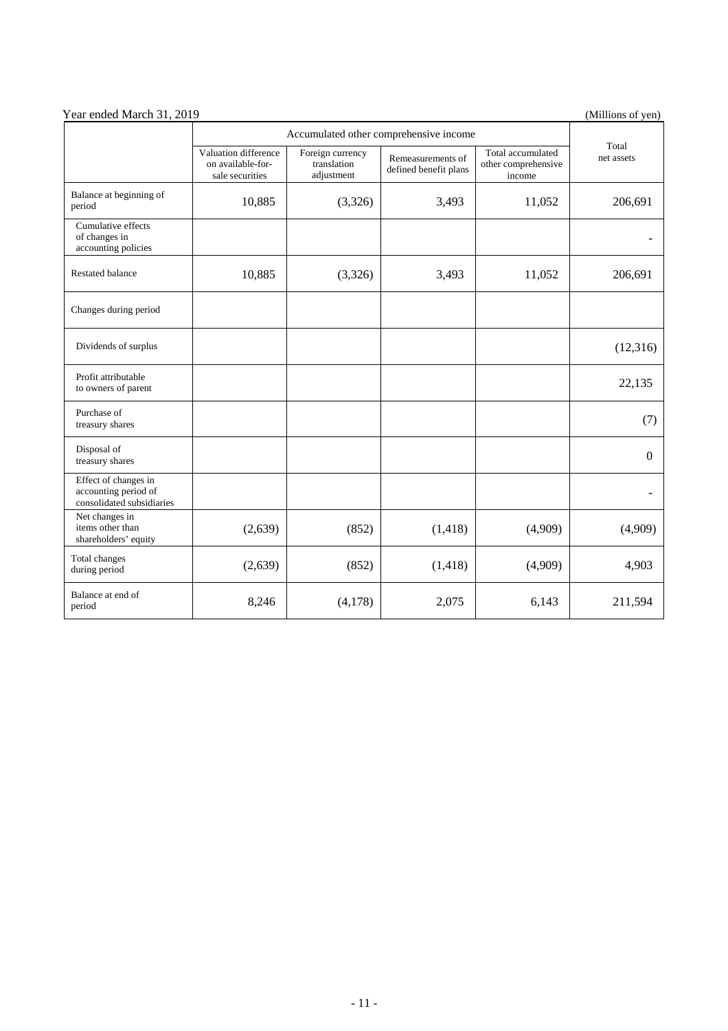| Year ended March 31, 2019                                                 | (Millions of yen)                                            |                                                                                             |          |                                                    |                     |
|---------------------------------------------------------------------------|--------------------------------------------------------------|---------------------------------------------------------------------------------------------|----------|----------------------------------------------------|---------------------|
|                                                                           | Accumulated other comprehensive income                       |                                                                                             |          |                                                    |                     |
|                                                                           | Valuation difference<br>on available-for-<br>sale securities | Foreign currency<br>Remeasurements of<br>translation<br>defined benefit plans<br>adjustment |          | Total accumulated<br>other comprehensive<br>income | Total<br>net assets |
| Balance at beginning of<br>period                                         | 10,885                                                       | (3,326)                                                                                     | 3,493    | 11,052                                             | 206,691             |
| Cumulative effects<br>of changes in<br>accounting policies                |                                                              |                                                                                             |          |                                                    |                     |
| <b>Restated balance</b>                                                   | 10,885                                                       | (3,326)                                                                                     | 3,493    | 11,052                                             | 206,691             |
| Changes during period                                                     |                                                              |                                                                                             |          |                                                    |                     |
| Dividends of surplus                                                      |                                                              |                                                                                             |          |                                                    | (12,316)            |
| Profit attributable<br>to owners of parent                                |                                                              |                                                                                             |          |                                                    | 22,135              |
| Purchase of<br>treasury shares                                            |                                                              |                                                                                             |          |                                                    | (7)                 |
| Disposal of<br>treasury shares                                            |                                                              |                                                                                             |          |                                                    | $\Omega$            |
| Effect of changes in<br>accounting period of<br>consolidated subsidiaries |                                                              |                                                                                             |          |                                                    |                     |
| Net changes in<br>items other than<br>shareholders' equity                | (2,639)                                                      | (852)                                                                                       | (1, 418) | (4,909)                                            | (4,909)             |
| Total changes<br>during period                                            | (2,639)                                                      | (852)                                                                                       | (1, 418) | (4,909)                                            | 4,903               |
| Balance at end of<br>period                                               | 8,246                                                        | (4,178)                                                                                     | 2,075    | 6,143                                              | 211,594             |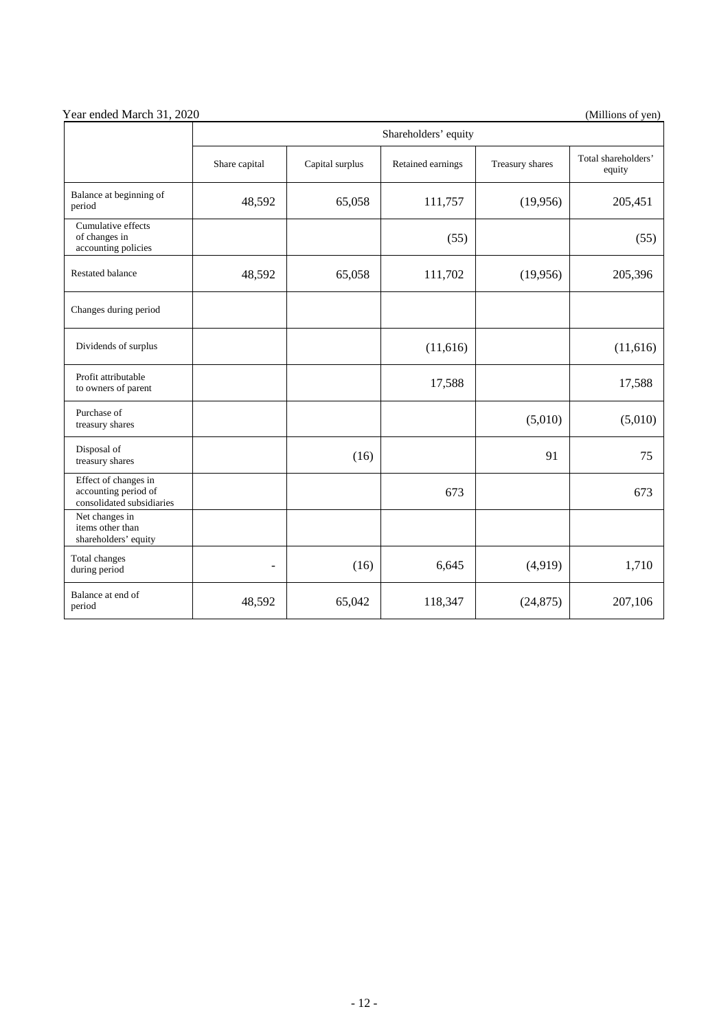| Year ended March 31, 2020 | (Millions of yen) |
|---------------------------|-------------------|

|                                                                           | Shareholders' equity |                 |                   |                 |                               |  |  |
|---------------------------------------------------------------------------|----------------------|-----------------|-------------------|-----------------|-------------------------------|--|--|
|                                                                           | Share capital        | Capital surplus | Retained earnings | Treasury shares | Total shareholders'<br>equity |  |  |
| Balance at beginning of<br>period                                         | 48,592               | 65,058          | 111,757           | (19,956)        | 205,451                       |  |  |
| Cumulative effects<br>of changes in<br>accounting policies                |                      |                 | (55)              |                 | (55)                          |  |  |
| <b>Restated balance</b>                                                   | 48,592               | 65,058          | 111,702           | (19,956)        | 205,396                       |  |  |
| Changes during period                                                     |                      |                 |                   |                 |                               |  |  |
| Dividends of surplus                                                      |                      |                 | (11, 616)         |                 | (11,616)                      |  |  |
| Profit attributable<br>to owners of parent                                |                      |                 | 17,588            |                 | 17,588                        |  |  |
| Purchase of<br>treasury shares                                            |                      |                 |                   | (5,010)         | (5,010)                       |  |  |
| Disposal of<br>treasury shares                                            |                      | (16)            |                   | 91              | 75                            |  |  |
| Effect of changes in<br>accounting period of<br>consolidated subsidiaries |                      |                 | 673               |                 | 673                           |  |  |
| Net changes in<br>items other than<br>shareholders' equity                |                      |                 |                   |                 |                               |  |  |
| Total changes<br>during period                                            | ÷                    | (16)            | 6,645             | (4,919)         | 1,710                         |  |  |
| Balance at end of<br>period                                               | 48,592               | 65,042          | 118,347           | (24, 875)       | 207,106                       |  |  |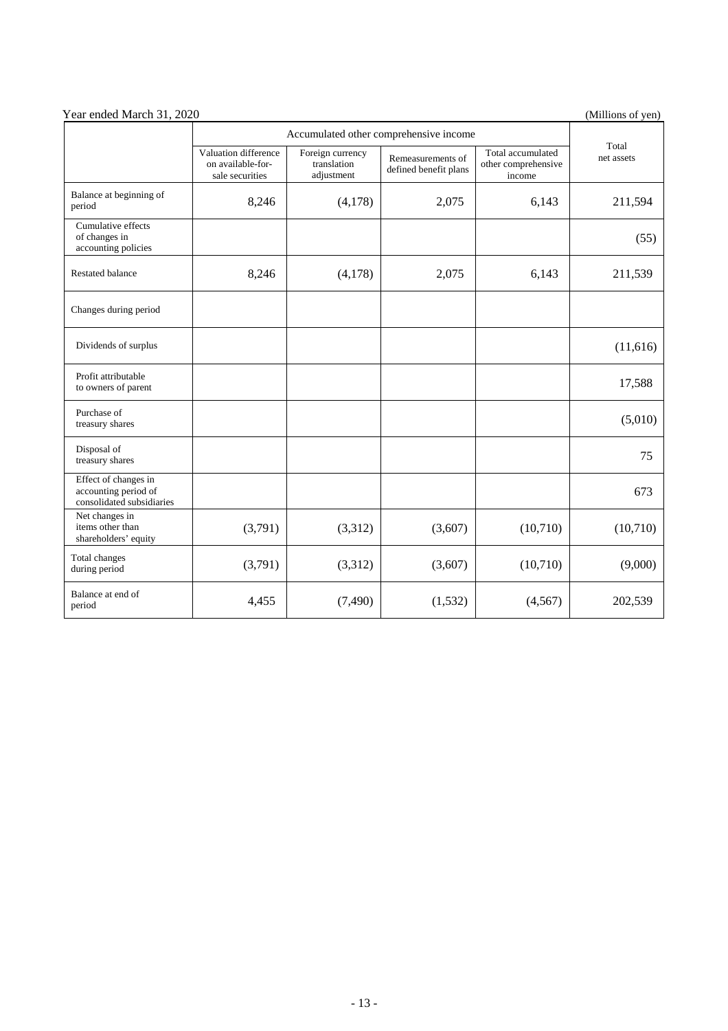| Year ended March 31, 2020                                                 |                                                              |                                               |                                            |                                                    |                     |
|---------------------------------------------------------------------------|--------------------------------------------------------------|-----------------------------------------------|--------------------------------------------|----------------------------------------------------|---------------------|
|                                                                           | Accumulated other comprehensive income                       |                                               |                                            |                                                    |                     |
|                                                                           | Valuation difference<br>on available-for-<br>sale securities | Foreign currency<br>translation<br>adjustment | Remeasurements of<br>defined benefit plans | Total accumulated<br>other comprehensive<br>income | Total<br>net assets |
| Balance at beginning of<br>period                                         | 8,246                                                        | (4,178)                                       | 2,075                                      | 6,143                                              | 211,594             |
| Cumulative effects<br>of changes in<br>accounting policies                |                                                              |                                               |                                            |                                                    | (55)                |
| <b>Restated balance</b>                                                   | 8,246                                                        | (4,178)                                       | 2,075                                      | 6,143                                              | 211,539             |
| Changes during period                                                     |                                                              |                                               |                                            |                                                    |                     |
| Dividends of surplus                                                      |                                                              |                                               |                                            |                                                    | (11,616)            |
| Profit attributable<br>to owners of parent                                |                                                              |                                               |                                            |                                                    | 17,588              |
| Purchase of<br>treasury shares                                            |                                                              |                                               |                                            |                                                    | (5,010)             |
| Disposal of<br>treasury shares                                            |                                                              |                                               |                                            |                                                    | 75                  |
| Effect of changes in<br>accounting period of<br>consolidated subsidiaries |                                                              |                                               |                                            |                                                    | 673                 |
| Net changes in<br>items other than<br>shareholders' equity                | (3,791)                                                      | (3,312)                                       | (3,607)                                    | (10,710)                                           | (10,710)            |
| Total changes<br>during period                                            | (3,791)                                                      | (3,312)                                       | (3,607)                                    | (10,710)                                           | (9,000)             |
| Balance at end of<br>period                                               | 4,455                                                        | (7, 490)                                      | (1,532)                                    | (4, 567)                                           | 202,539             |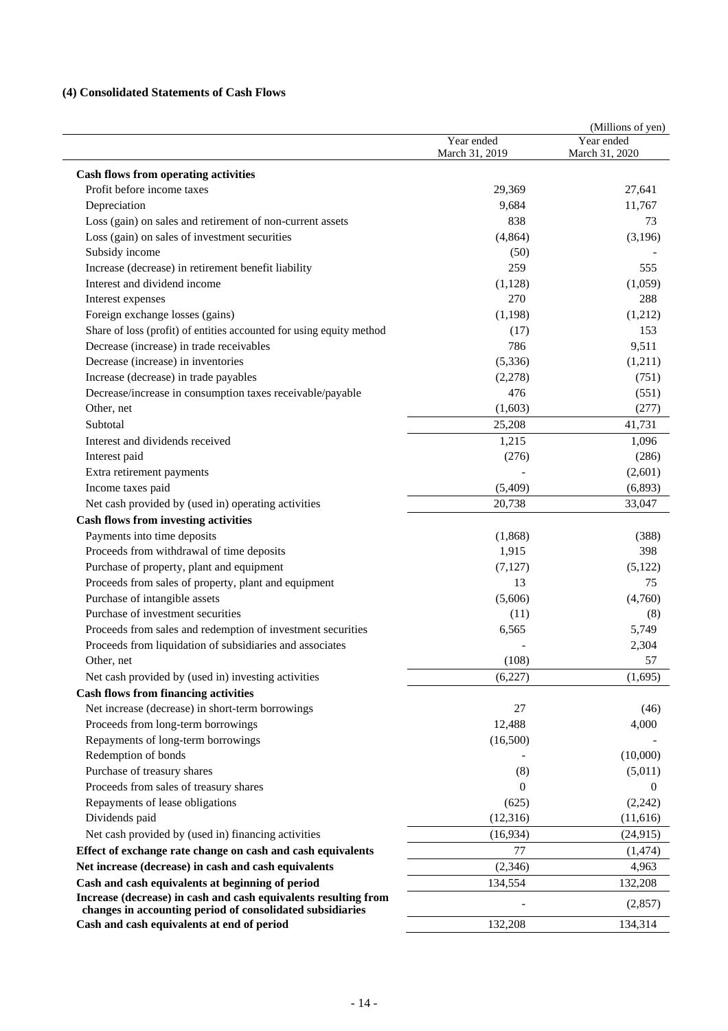# **(4) Consolidated Statements of Cash Flows**

|                                                                      |                | (Millions of yen) |
|----------------------------------------------------------------------|----------------|-------------------|
|                                                                      | Year ended     | Year ended        |
|                                                                      | March 31, 2019 | March 31, 2020    |
| <b>Cash flows from operating activities</b>                          |                |                   |
| Profit before income taxes                                           | 29,369         | 27,641            |
| Depreciation                                                         | 9,684          | 11,767            |
| Loss (gain) on sales and retirement of non-current assets            | 838            | 73                |
| Loss (gain) on sales of investment securities                        | (4, 864)       | (3,196)           |
| Subsidy income                                                       | (50)           |                   |
| Increase (decrease) in retirement benefit liability                  | 259            | 555               |
| Interest and dividend income                                         | (1,128)        | (1,059)           |
| Interest expenses                                                    | 270            | 288               |
| Foreign exchange losses (gains)                                      | (1,198)        | (1,212)           |
| Share of loss (profit) of entities accounted for using equity method | (17)           | 153               |
| Decrease (increase) in trade receivables                             | 786            | 9,511             |
| Decrease (increase) in inventories                                   | (5,336)        | (1,211)           |
| Increase (decrease) in trade payables                                | (2,278)        | (751)             |
| Decrease/increase in consumption taxes receivable/payable            | 476            | (551)             |
| Other, net                                                           | (1,603)        | (277)             |
| Subtotal                                                             | 25,208         | 41,731            |
| Interest and dividends received                                      | 1,215          | 1,096             |
| Interest paid                                                        | (276)          | (286)             |
| Extra retirement payments                                            |                | (2,601)           |
| Income taxes paid                                                    | (5,409)        | (6, 893)          |
| Net cash provided by (used in) operating activities                  | 20,738         | 33,047            |
| <b>Cash flows from investing activities</b>                          |                |                   |
| Payments into time deposits                                          | (1,868)        | (388)             |
| Proceeds from withdrawal of time deposits                            | 1,915          | 398               |
| Purchase of property, plant and equipment                            | (7,127)        | (5,122)           |
| Proceeds from sales of property, plant and equipment                 | 13             | 75                |
| Purchase of intangible assets                                        | (5,606)        | (4,760)           |
| Purchase of investment securities                                    | (11)           | (8)               |
| Proceeds from sales and redemption of investment securities          | 6,565          | 5,749             |
| Proceeds from liquidation of subsidiaries and associates             |                | 2,304             |
| Other, net                                                           | (108)          | 57                |
| Net cash provided by (used in) investing activities                  | (6,227)        | (1,695)           |
| <b>Cash flows from financing activities</b>                          |                |                   |
| Net increase (decrease) in short-term borrowings                     | 27             | (46)              |
| Proceeds from long-term borrowings                                   | 12,488         | 4,000             |
| Repayments of long-term borrowings                                   | (16,500)       |                   |
| Redemption of bonds                                                  |                | (10,000)          |
| Purchase of treasury shares                                          | (8)            | (5,011)           |
| Proceeds from sales of treasury shares                               | 0              | $\Omega$          |
| Repayments of lease obligations                                      | (625)          | (2, 242)          |
| Dividends paid                                                       | (12, 316)      | (11,616)          |
| Net cash provided by (used in) financing activities                  | (16,934)       | (24, 915)         |
| Effect of exchange rate change on cash and cash equivalents          | 77             | (1, 474)          |
| Net increase (decrease) in cash and cash equivalents                 | (2,346)        | 4,963             |
| Cash and cash equivalents at beginning of period                     | 134,554        |                   |
| Increase (decrease) in cash and cash equivalents resulting from      |                | 132,208           |
| changes in accounting period of consolidated subsidiaries            |                | (2,857)           |
| Cash and cash equivalents at end of period                           | 132,208        | 134,314           |
|                                                                      |                |                   |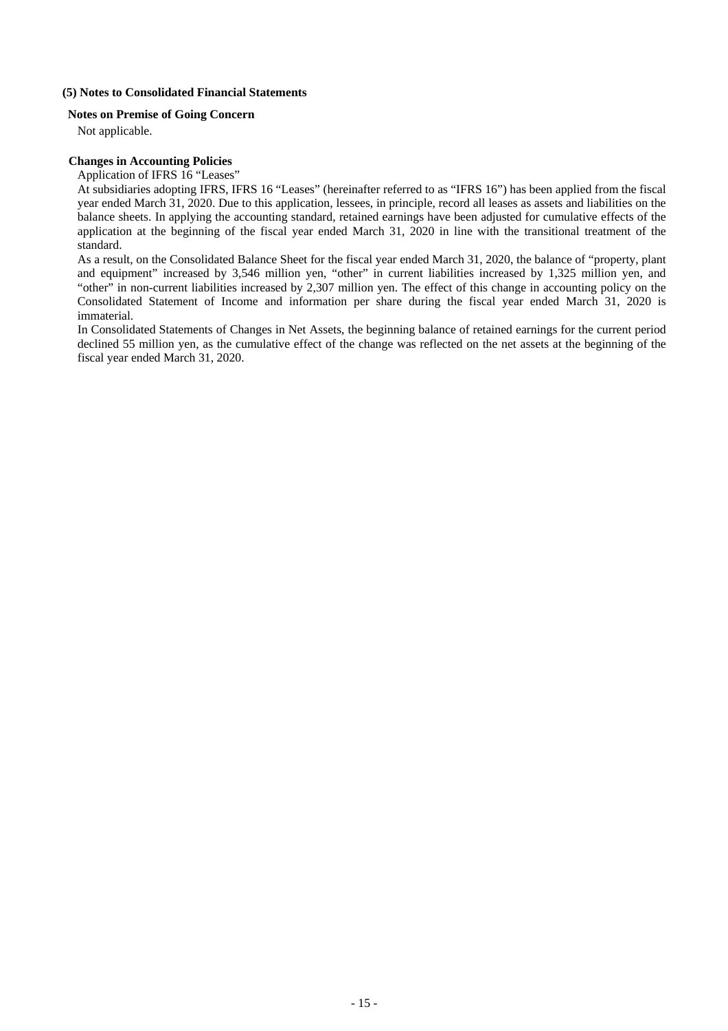## **(5) Notes to Consolidated Financial Statements**

## **Notes on Premise of Going Concern**

Not applicable.

## **Changes in Accounting Policies**

## Application of IFRS 16 "Leases"

At subsidiaries adopting IFRS, IFRS 16 "Leases" (hereinafter referred to as "IFRS 16") has been applied from the fiscal year ended March 31, 2020. Due to this application, lessees, in principle, record all leases as assets and liabilities on the balance sheets. In applying the accounting standard, retained earnings have been adjusted for cumulative effects of the application at the beginning of the fiscal year ended March 31, 2020 in line with the transitional treatment of the standard.

As a result, on the Consolidated Balance Sheet for the fiscal year ended March 31, 2020, the balance of "property, plant and equipment" increased by 3,546 million yen, "other" in current liabilities increased by 1,325 million yen, and "other" in non-current liabilities increased by 2,307 million yen. The effect of this change in accounting policy on the Consolidated Statement of Income and information per share during the fiscal year ended March 31, 2020 is immaterial.

In Consolidated Statements of Changes in Net Assets, the beginning balance of retained earnings for the current period declined 55 million yen, as the cumulative effect of the change was reflected on the net assets at the beginning of the fiscal year ended March 31, 2020.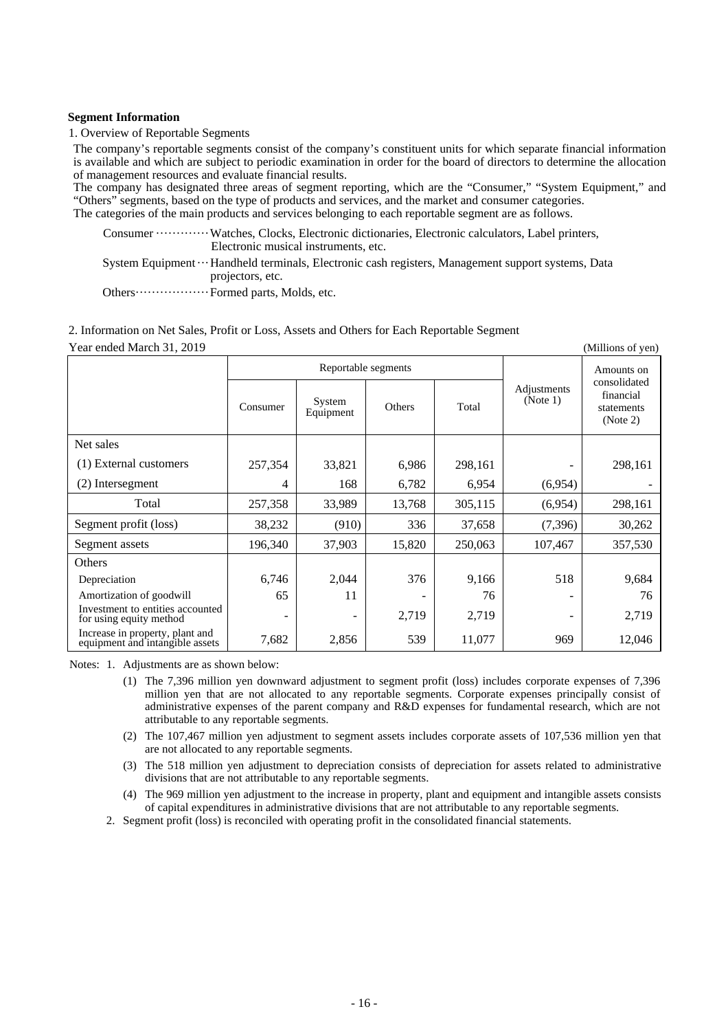## **Segment Information**

1. Overview of Reportable Segments

The company's reportable segments consist of the company's constituent units for which separate financial information is available and which are subject to periodic examination in order for the board of directors to determine the allocation of management resources and evaluate financial results.

The company has designated three areas of segment reporting, which are the "Consumer," "System Equipment," and "Others" segments, based on the type of products and services, and the market and consumer categories. The categories of the main products and services belonging to each reportable segment are as follows.

Consumer ············· Watches, Clocks, Electronic dictionaries, Electronic calculators, Label printers, Electronic musical instruments, etc.

System Equipment ··· Handheld terminals, Electronic cash registers, Management support systems, Data projectors, etc.

Others ······················· Formed parts, Molds, etc.

### 2. Information on Net Sales, Profit or Loss, Assets and Others for Each Reportable Segment Year ended March 31, 2010

| Teal ended march 31, 2019<br><i>(Dimitions of year)</i>            |          |                     |        |            |                         |                                                     |  |
|--------------------------------------------------------------------|----------|---------------------|--------|------------|-------------------------|-----------------------------------------------------|--|
|                                                                    |          | Reportable segments |        | Amounts on |                         |                                                     |  |
|                                                                    | Consumer | System<br>Equipment | Others | Total      | Adjustments<br>(Note 1) | consolidated<br>financial<br>statements<br>(Note 2) |  |
| Net sales                                                          |          |                     |        |            |                         |                                                     |  |
| (1) External customers                                             | 257,354  | 33,821              | 6,986  | 298,161    |                         | 298,161                                             |  |
| (2) Intersegment                                                   | 4        | 168                 | 6,782  | 6,954      | (6,954)                 |                                                     |  |
| Total                                                              | 257,358  | 33,989              | 13,768 | 305,115    | (6,954)                 | 298,161                                             |  |
| Segment profit (loss)                                              | 38,232   | (910)               | 336    | 37,658     | (7, 396)                | 30,262                                              |  |
| Segment assets                                                     | 196,340  | 37,903              | 15,820 | 250,063    | 107,467                 | 357,530                                             |  |
| <b>Others</b>                                                      |          |                     |        |            |                         |                                                     |  |
| Depreciation                                                       | 6,746    | 2,044               | 376    | 9,166      | 518                     | 9,684                                               |  |
| Amortization of goodwill                                           | 65       | 11                  |        | 76         |                         | 76                                                  |  |
| Investment to entities accounted<br>for using equity method        | ۰        | $\qquad \qquad -$   | 2,719  | 2,719      |                         | 2,719                                               |  |
| Increase in property, plant and<br>equipment and intangible assets | 7,682    | 2,856               | 539    | 11,077     | 969                     | 12,046                                              |  |

Notes: 1. Adjustments are as shown below:

- (1) The 7,396 million yen downward adjustment to segment profit (loss) includes corporate expenses of 7,396 million yen that are not allocated to any reportable segments. Corporate expenses principally consist of administrative expenses of the parent company and R&D expenses for fundamental research, which are not attributable to any reportable segments.
- (2) The 107,467 million yen adjustment to segment assets includes corporate assets of 107,536 million yen that are not allocated to any reportable segments.
- (3) The 518 million yen adjustment to depreciation consists of depreciation for assets related to administrative divisions that are not attributable to any reportable segments.
- (4) The 969 million yen adjustment to the increase in property, plant and equipment and intangible assets consists of capital expenditures in administrative divisions that are not attributable to any reportable segments.
- 2. Segment profit (loss) is reconciled with operating profit in the consolidated financial statements.